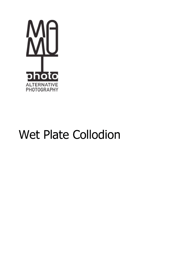

# **Wet Plate Collodion**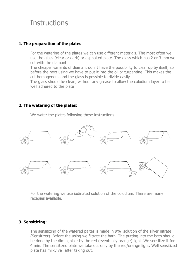# **Instructions**

#### **1. The preparation of the plates**

For the watering of the plates we can use different materials. The most often we use the glass (clear or dark) or asphalted plate. The glass which has 2 or 3 mm we cut with the diamant.

The cheaper variants of diamant don´t have the possibility to clear up by itself, so before the next using we have to put it into the oil or turpentine. This makes the cut homogenous and the glass is possible to divide easily.

The glass should be clean, without any grease to allow the colodium layer to be well adhered to the plate

#### **2. The watering of the plates:**

We water the plates following these instructions:



For the watering we use iodinated solution of the colodium. There are many recepies available.

#### **3. Sensitizing:**

The sensitizing of the watered paltes is made in 9% solution of the silver nitrate (Sensitizer). Before the using we filtrate the bath. The putting into the bath should be done by the dim light or by the red (eventually orange) light. We sensitize it for 4 min. The sensitized plate we take out only by the red/orange light. Well sensitized plate has milky veil after taking out.